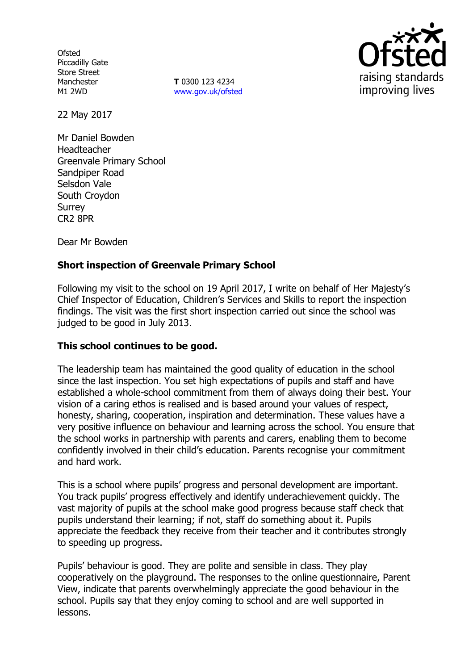**Ofsted** Piccadilly Gate Store Street Manchester M1 2WD

**T** 0300 123 4234 [www.gov.uk/ofsted](http://www.gov.uk/ofsted)



22 May 2017

Mr Daniel Bowden Headteacher Greenvale Primary School Sandpiper Road Selsdon Vale South Croydon Surrey CR2 8PR

Dear Mr Bowden

# **Short inspection of Greenvale Primary School**

Following my visit to the school on 19 April 2017, I write on behalf of Her Majesty's Chief Inspector of Education, Children's Services and Skills to report the inspection findings. The visit was the first short inspection carried out since the school was judged to be good in July 2013.

## **This school continues to be good.**

The leadership team has maintained the good quality of education in the school since the last inspection. You set high expectations of pupils and staff and have established a whole-school commitment from them of always doing their best. Your vision of a caring ethos is realised and is based around your values of respect, honesty, sharing, cooperation, inspiration and determination. These values have a very positive influence on behaviour and learning across the school. You ensure that the school works in partnership with parents and carers, enabling them to become confidently involved in their child's education. Parents recognise your commitment and hard work.

This is a school where pupils' progress and personal development are important. You track pupils' progress effectively and identify underachievement quickly. The vast majority of pupils at the school make good progress because staff check that pupils understand their learning; if not, staff do something about it. Pupils appreciate the feedback they receive from their teacher and it contributes strongly to speeding up progress.

Pupils' behaviour is good. They are polite and sensible in class. They play cooperatively on the playground. The responses to the online questionnaire, Parent View, indicate that parents overwhelmingly appreciate the good behaviour in the school. Pupils say that they enjoy coming to school and are well supported in lessons.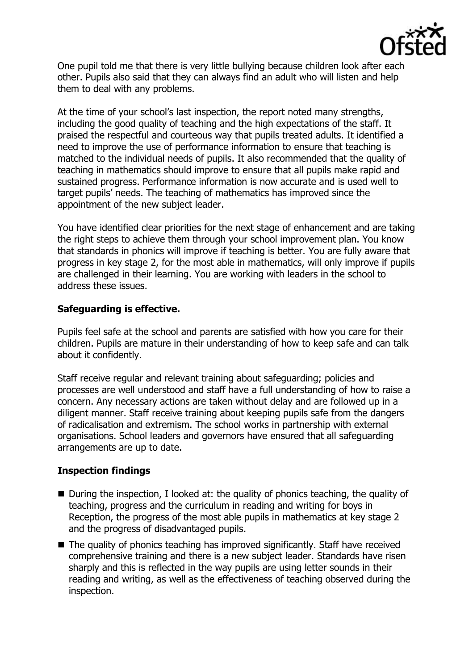

One pupil told me that there is very little bullying because children look after each other. Pupils also said that they can always find an adult who will listen and help them to deal with any problems.

At the time of your school's last inspection, the report noted many strengths, including the good quality of teaching and the high expectations of the staff. It praised the respectful and courteous way that pupils treated adults. It identified a need to improve the use of performance information to ensure that teaching is matched to the individual needs of pupils. It also recommended that the quality of teaching in mathematics should improve to ensure that all pupils make rapid and sustained progress. Performance information is now accurate and is used well to target pupils' needs. The teaching of mathematics has improved since the appointment of the new subject leader.

You have identified clear priorities for the next stage of enhancement and are taking the right steps to achieve them through your school improvement plan. You know that standards in phonics will improve if teaching is better. You are fully aware that progress in key stage 2, for the most able in mathematics, will only improve if pupils are challenged in their learning. You are working with leaders in the school to address these issues.

## **Safeguarding is effective.**

Pupils feel safe at the school and parents are satisfied with how you care for their children. Pupils are mature in their understanding of how to keep safe and can talk about it confidently.

Staff receive regular and relevant training about safeguarding; policies and processes are well understood and staff have a full understanding of how to raise a concern. Any necessary actions are taken without delay and are followed up in a diligent manner. Staff receive training about keeping pupils safe from the dangers of radicalisation and extremism. The school works in partnership with external organisations. School leaders and governors have ensured that all safeguarding arrangements are up to date.

# **Inspection findings**

- $\blacksquare$  During the inspection, I looked at: the quality of phonics teaching, the quality of teaching, progress and the curriculum in reading and writing for boys in Reception, the progress of the most able pupils in mathematics at key stage 2 and the progress of disadvantaged pupils.
- $\blacksquare$  The quality of phonics teaching has improved significantly. Staff have received comprehensive training and there is a new subject leader. Standards have risen sharply and this is reflected in the way pupils are using letter sounds in their reading and writing, as well as the effectiveness of teaching observed during the inspection.